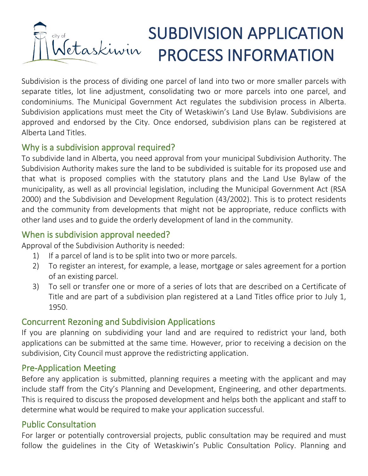# SUBDIVISION APPLICATION etaskiwin PROCESS INFORMATION

Subdivision is the process of dividing one parcel of land into two or more smaller parcels with separate titles, lot line adjustment, consolidating two or more parcels into one parcel, and condominiums. The Municipal Government Act regulates the subdivision process in Alberta. Subdivision applications must meet the City of Wetaskiwin's Land Use Bylaw. Subdivisions are approved and endorsed by the City. Once endorsed, subdivision plans can be registered at Alberta Land Titles.

# Why is a subdivision approval required?

To subdivide land in Alberta, you need approval from your municipal Subdivision Authority. The Subdivision Authority makes sure the land to be subdivided is suitable for its proposed use and that what is proposed complies with the statutory plans and the Land Use Bylaw of the municipality, as well as all provincial legislation, including the Municipal Government Act (RSA 2000) and the Subdivision and Development Regulation (43/2002). This is to protect residents and the community from developments that might not be appropriate, reduce conflicts with other land uses and to guide the orderly development of land in the community.

# When is subdivision approval needed?

Approval of the Subdivision Authority is needed:

- 1) If a parcel of land is to be split into two or more parcels.
- 2) To register an interest, for example, a lease, mortgage or sales agreement for a portion of an existing parcel.
- 3) To sell or transfer one or more of a series of lots that are described on a Certificate of Title and are part of a subdivision plan registered at a Land Titles office prior to July 1, 1950.

## Concurrent Rezoning and Subdivision Applications

If you are planning on subdividing your land and are required to redistrict your land, both applications can be submitted at the same time. However, prior to receiving a decision on the subdivision, City Council must approve the redistricting application.

## Pre-Application Meeting

Before any application is submitted, planning requires a meeting with the applicant and may include staff from the City's Planning and Development, Engineering, and other departments. This is required to discuss the proposed development and helps both the applicant and staff to determine what would be required to make your application successful.

# Public Consultation

For larger or potentially controversial projects, public consultation may be required and must follow the guidelines in the City of Wetaskiwin's Public Consultation Policy. Planning and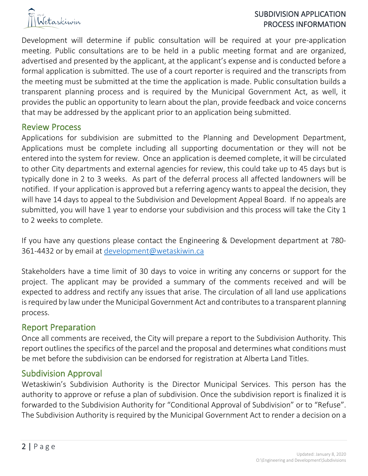

#### SUBDIVISION APPLICATION PROCESS INFORMATION

Development will determine if public consultation will be required at your pre-application meeting. Public consultations are to be held in a public meeting format and are organized, advertised and presented by the applicant, at the applicant's expense and is conducted before a formal application is submitted. The use of a court reporter is required and the transcripts from the meeting must be submitted at the time the application is made. Public consultation builds a transparent planning process and is required by the Municipal Government Act, as well, it provides the public an opportunity to learn about the plan, provide feedback and voice concerns that may be addressed by the applicant prior to an application being submitted.

#### Review Process

Applications for subdivision are submitted to the Planning and Development Department, Applications must be complete including all supporting documentation or they will not be entered into the system for review. Once an application is deemed complete, it will be circulated to other City departments and external agencies for review, this could take up to 45 days but is typically done in 2 to 3 weeks. As part of the deferral process all affected landowners will be notified. If your application is approved but a referring agency wants to appeal the decision, they will have 14 days to appeal to the Subdivision and Development Appeal Board. If no appeals are submitted, you will have 1 year to endorse your subdivision and this process will take the City 1 to 2 weeks to complete.

If you have any questions please contact the Engineering & Development department at 780- 361-4432 or by email at [development@wetaskiwin.ca](mailto:development@wetaskiwin.ca)

Stakeholders have a time limit of 30 days to voice in writing any concerns or support for the project. The applicant may be provided a summary of the comments received and will be expected to address and rectify any issues that arise. The circulation of all land use applications is required by law under the Municipal Government Act and contributes to a transparent planning process.

#### Report Preparation

Once all comments are received, the City will prepare a report to the Subdivision Authority. This report outlines the specifics of the parcel and the proposal and determines what conditions must be met before the subdivision can be endorsed for registration at Alberta Land Titles.

#### Subdivision Approval

Wetaskiwin's Subdivision Authority is the Director Municipal Services. This person has the authority to approve or refuse a plan of subdivision. Once the subdivision report is finalized it is forwarded to the Subdivision Authority for "Conditional Approval of Subdivision" or to "Refuse". The Subdivision Authority is required by the Municipal Government Act to render a decision on a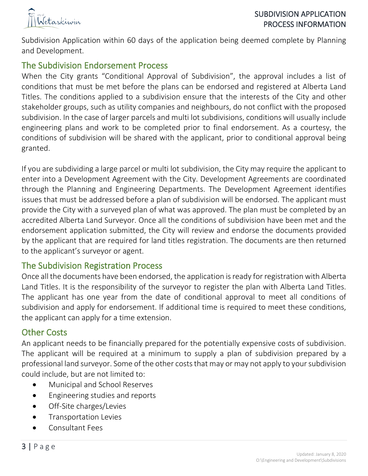

Subdivision Application within 60 days of the application being deemed complete by Planning and Development.

## The Subdivision Endorsement Process

When the City grants "Conditional Approval of Subdivision", the approval includes a list of conditions that must be met before the plans can be endorsed and registered at Alberta Land Titles. The conditions applied to a subdivision ensure that the interests of the City and other stakeholder groups, such as utility companies and neighbours, do not conflict with the proposed subdivision. In the case of larger parcels and multi lot subdivisions, conditions will usually include engineering plans and work to be completed prior to final endorsement. As a courtesy, the conditions of subdivision will be shared with the applicant, prior to conditional approval being granted.

If you are subdividing a large parcel or multi lot subdivision, the City may require the applicant to enter into a Development Agreement with the City. Development Agreements are coordinated through the Planning and Engineering Departments. The Development Agreement identifies issues that must be addressed before a plan of subdivision will be endorsed. The applicant must provide the City with a surveyed plan of what was approved. The plan must be completed by an accredited Alberta Land Surveyor. Once all the conditions of subdivision have been met and the endorsement application submitted, the City will review and endorse the documents provided by the applicant that are required for land titles registration. The documents are then returned to the applicant's surveyor or agent.

#### The Subdivision Registration Process

Once all the documents have been endorsed, the application is ready for registration with Alberta Land Titles. It is the responsibility of the surveyor to register the plan with Alberta Land Titles. The applicant has one year from the date of conditional approval to meet all conditions of subdivision and apply for endorsement. If additional time is required to meet these conditions, the applicant can apply for a time extension.

## Other Costs

An applicant needs to be financially prepared for the potentially expensive costs of subdivision. The applicant will be required at a minimum to supply a plan of subdivision prepared by a professional land surveyor. Some of the other costs that may or may not apply to your subdivision could include, but are not limited to:

- Municipal and School Reserves
- Engineering studies and reports
- Off-Site charges/Levies
- Transportation Levies
- Consultant Fees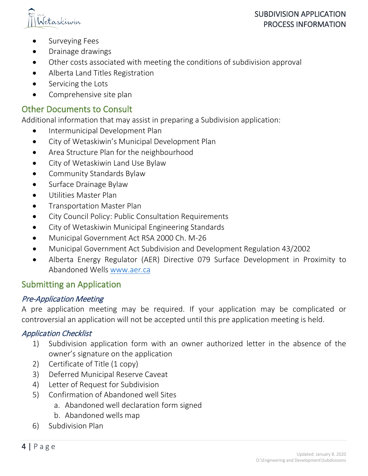



- Surveying Fees
- Drainage drawings
- Other costs associated with meeting the conditions of subdivision approval
- Alberta Land Titles Registration
- Servicing the Lots
- Comprehensive site plan

## Other Documents to Consult

Additional information that may assist in preparing a Subdivision application:

- Intermunicipal Development Plan
- City of Wetaskiwin's Municipal Development Plan
- Area Structure Plan for the neighbourhood
- City of Wetaskiwin Land Use Bylaw
- Community Standards Bylaw
- Surface Drainage Bylaw
- Utilities Master Plan
- Transportation Master Plan
- City Council Policy: Public Consultation Requirements
- City of Wetaskiwin Municipal Engineering Standards
- Municipal Government Act RSA 2000 Ch. M-26
- Municipal Government Act Subdivision and Development Regulation 43/2002
- Alberta Energy Regulator (AER) Directive 079 Surface Development in Proximity to Abandoned Wells [www.aer.ca](http://www.aer.ca/)

## Submitting an Application

#### Pre-Application Meeting

A pre application meeting may be required. If your application may be complicated or controversial an application will not be accepted until this pre application meeting is held.

#### Application Checklist

- 1) Subdivision application form with an owner authorized letter in the absence of the owner's signature on the application
- 2) Certificate of Title (1 copy)
- 3) Deferred Municipal Reserve Caveat
- 4) Letter of Request for Subdivision
- 5) Confirmation of Abandoned well Sites
	- a. Abandoned well declaration form signed
	- b. Abandoned wells map
- 6) Subdivision Plan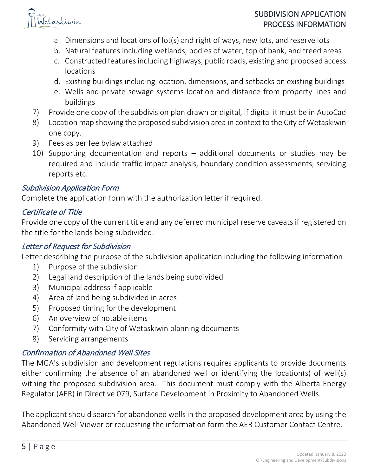

#### SUBDIVISION APPLICATION PROCESS INFORMATION

- a. Dimensions and locations of lot(s) and right of ways, new lots, and reserve lots
- b. Natural features including wetlands, bodies of water, top of bank, and treed areas
- c. Constructed features including highways, public roads, existing and proposed access locations
- d. Existing buildings including location, dimensions, and setbacks on existing buildings
- e. Wells and private sewage systems location and distance from property lines and buildings
- 7) Provide one copy of the subdivision plan drawn or digital, if digital it must be in AutoCad
- 8) Location map showing the proposed subdivision area in context to the City of Wetaskiwin one copy.
- 9) Fees as per fee bylaw attached
- 10) Supporting documentation and reports additional documents or studies may be required and include traffic impact analysis, boundary condition assessments, servicing reports etc.

#### Subdivision Application Form

Complete the application form with the authorization letter if required.

#### Certificate of Title

Provide one copy of the current title and any deferred municipal reserve caveats if registered on the title for the lands being subdivided.

#### Letter of Request for Subdivision

Letter describing the purpose of the subdivision application including the following information

- 1) Purpose of the subdivision
- 2) Legal land description of the lands being subdivided
- 3) Municipal address if applicable
- 4) Area of land being subdivided in acres
- 5) Proposed timing for the development
- 6) An overview of notable items
- 7) Conformity with City of Wetaskiwin planning documents
- 8) Servicing arrangements

# Confirmation of Abandoned Well Sites

The MGA's subdivision and development regulations requires applicants to provide documents either confirming the absence of an abandoned well or identifying the location(s) of well(s) withing the proposed subdivision area. This document must comply with the Alberta Energy Regulator (AER) in Directive 079, Surface Development in Proximity to Abandoned Wells.

The applicant should search for abandoned wells in the proposed development area by using the Abandoned Well Viewer or requesting the information form the AER Customer Contact Centre.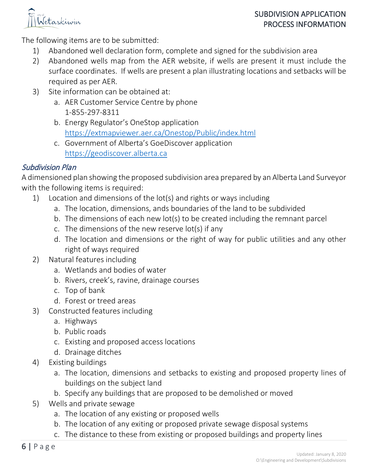

The following items are to be submitted:

- 1) Abandoned well declaration form, complete and signed for the subdivision area
- 2) Abandoned wells map from the AER website, if wells are present it must include the surface coordinates. If wells are present a plan illustrating locations and setbacks will be required as per AER.
- 3) Site information can be obtained at:
	- a. AER Customer Service Centre by phone 1-855-297-8311
	- b. Energy Regulator's OneStop application <https://extmapviewer.aer.ca/Onestop/Public/index.html>
	- c. Government of Alberta's GoeDiscover application [https://geodiscover.alberta.ca](https://geodiscover.alberta.ca/)

## Subdivision Plan

A dimensioned plan showing the proposed subdivision area prepared by an Alberta Land Surveyor with the following items is required:

- 1) Location and dimensions of the lot(s) and rights or ways including
	- a. The location, dimensions, ands boundaries of the land to be subdivided
	- b. The dimensions of each new lot(s) to be created including the remnant parcel
	- c. The dimensions of the new reserve lot(s) if any
	- d. The location and dimensions or the right of way for public utilities and any other right of ways required
- 2) Natural features including
	- a. Wetlands and bodies of water
	- b. Rivers, creek's, ravine, drainage courses
	- c. Top of bank
	- d. Forest or treed areas
- 3) Constructed features including
	- a. Highways
	- b. Public roads
	- c. Existing and proposed access locations
	- d. Drainage ditches
- 4) Existing buildings
	- a. The location, dimensions and setbacks to existing and proposed property lines of buildings on the subject land
	- b. Specify any buildings that are proposed to be demolished or moved
- 5) Wells and private sewage
	- a. The location of any existing or proposed wells
	- b. The location of any exiting or proposed private sewage disposal systems
	- c. The distance to these from existing or proposed buildings and property lines